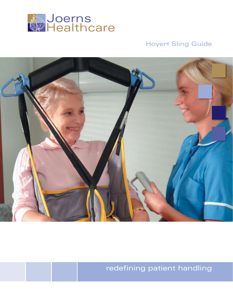

# Hoyer® Sling Guide



redefining patient handling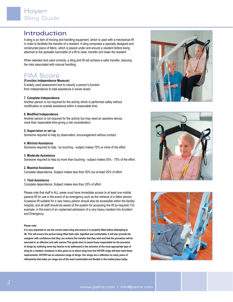# Introduction

A sling is an item of moving and handling equipment, which is used with a mechanical lift in order to facilitate the transfer of a resident. A sling comprises a specially designed and constructed piece of fabric, which is placed under and around a resident before being attached to the spreader bar/cradle of a lift to raise, transfer and lower the resident.

When selected and used correctly, a sling and lift will achieve a safer transfer, reducing the risks associated with manual handling.

# FIM Score

**(Function Independence Measure)** A widely used assessment tool to classify a person's function from independence to total assistance in seven levels.

#### **7. Complete Independence**

Another person is not required for the activity which is performed safely without modification or outside assistance within a reasonable time.

#### **6. Modified Independence**

Another person is not required for the activity but may need an assistive device, more than reasonable time giving a risk consideration.

#### **5. Supervision or set up**

Someone required to help by observation, encouragement without contact.

#### **4. Minimal Assistance**

Someone required to help - by touching - subject makes 75% or more of the effort.

#### **3. Moderate Assistance**

Someone required to help by more than touching - subject makes 50% - 75% of the effort.

#### **2. Maximal Assistance**

Complete dependence. Subject makes less than 50% but at least 25% of effort.

#### **1. Total Assistance**

Complete dependence. Subject makes less than 25% of effort.

Please note that staff in ALL areas must have immediate access to at least one mobile passive lift for use in the event of an emergency such as the retrieval of a fallen person. A passive lift suitable for a very heavy person should also be accessible within the facility/ hospital, and all staff should be aware of the system for accessing the lift as required. For example, in the event of an unplanned admission of a very heavy resident into Accident and Emergency.

#### **Please note:**

**It is very important to use the correct sized sling and ensure it is properly fitted before attempting to lift. This will ensure the person being lifted feels safe, dignified and comfortable. It will also provide the caregiver with confidence that they can achieve the transfer that they wish and that the procedure will be executed in an effective and safe manner.This guide aims to assist those responsible for the provision of slings by outlining some key factors to be addressed in the selection of the most appropriate type of sling for a resident. Guidance is then given as to which sling from the HOYER range will best meet these requirements. HOYER has an extensive range of slings. Our slings are a reflection on many years of refinements that make our range one of the most comfortable and flexible in the market place today.**





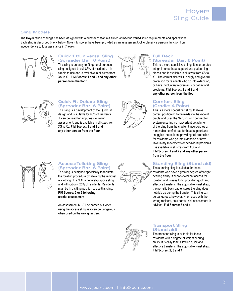## **Sling Models**

The **Hoyer** range of slings has been designed with a number of features aimed at meeting varied lifting requirements and applications. Each sling is described briefly below. Note FIM scores have been provided as an assessment tool to classify a person's function from independence to total assistance in 7 levels.



#### **Quick fit/Universal Sling (Spreader Bar: 6 Point)**

This sling is an easy-to-fit, general-purpose sling designed to suit 85% of residents. It is simple to use and is available in all sizes from XS to XL. **FIM Scores: 1 and 2 and any other person from the floor**



# **Full Back (Spreader Bar: 6 Point)**

This is a more specialized sling. It incorporates integral boned head support and padded leg pieces and is available in all sizes from XS to XL. The correct size will fit snugly and give full protection for residents who go into extension, or have involuntary movements or behavioral problems. **FIM Scores: 1 and 2 and any other person from the floor**



#### **Quick Fit Deluxe Sling (Spreader Bar: 6 Point)**

This sling is a development of the Quick Fit design and is suitable for 95% of residents. It can be used for amputees following assessment, and is available in all sizes from XS to XL. **FIM Scores: 1 and 2 and any other person from the floor**



## **Comfort Sling (Cradle: 4 Point)**

This is a more specialized sling. It allows correct positioning to be made via the 4-point cradle and uses the Securi3 sling connection system ensuring no inadvertent detachment of the sling from the cradle. It incorporates a removable comfort pad for head support and snuggles the resident providing full protection for residents who go into extension or have involuntary movements or behavioral problems. It is available in all sizes from XS to XL. **FIM Scores: 1 and 2 and any other person from the floor**

# **Standing Sling (Stand-aid)**

The standing sling is suitable for those residents who have a greater degree of weight bearing ability. It allows excellent access for toileting and is easy to fit, providing quick and effective transfers. The adjustable waist strap; the non-slip back pad ensures the sling does not ride up during the transfer. This sling can be dangerous, however, when used with the wrong resident, so a careful risk assessment is advised. **FIM Scores: 3 and 4**



#### **Access/Toileting Sling (Spreader Bar: 6 Point)**

This sling is designed specifically to facilitate the toileting procedure by allowing the removal of clothing. It is NOT a general-purpose sling and will suit only 25% of residents. Residents must be in a sitting position to use this sling. **FIM Scores: 2 or 3 following careful assessment**

An assessment MUST be carried out when using the access sling as it can be dangerous when used on the wrong resident.





## **Transport Sling (Stand-aid)**

The transport sling is suitable for those residents with a degree of weight bearing ability. It is easy to fit, allowing quick and effective transfers. The adjustable waist strap. **FIM Scores: 2, 3 and 4**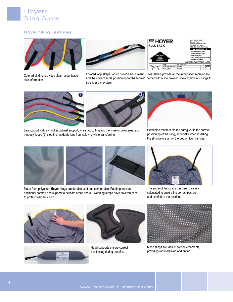## **Hoyer Sling Features**



Colored binding provides clear recognizable size information.



spreader bar system.

| ■HOYER<br><b>FULL BACK</b>                                 |                          |                                      | <b>9001 Joerns Drive</b><br><b>Stevens Point</b><br>Wisconsin - 54481-5840<br>Tel: (715) 341 3600<br>800) 826 0270 (Toll Free)               |  |  |
|------------------------------------------------------------|--------------------------|--------------------------------------|----------------------------------------------------------------------------------------------------------------------------------------------|--|--|
| OUTSIDE<br><b>HAUT</b><br><b>AUSSEN</b><br><b>EXTERIOR</b> |                          |                                      | A WARNING A<br>Max Safe Working Load<br>Polds maximum autorisé<br><b>Höchutbolastung</b><br>Carga Máxima Segura de Trabajo<br>500lbs (227kg) |  |  |
|                                                            |                          |                                      | DO NOT REMOVE THIS LABEL                                                                                                                     |  |  |
|                                                            | 3078                     | <b>POLYESTER</b><br>NA1067<br>NA1068 |                                                                                                                                              |  |  |
|                                                            | <b>FEDIATRIC (BROWN)</b> |                                      |                                                                                                                                              |  |  |
|                                                            | SAUALL (RED)             |                                      |                                                                                                                                              |  |  |

Colored loop straps, which provide adjustment Clear labels provide all the information required toand the correct angle positioning for the 6-point gether with a line drawing showing how our slings fit.





Leg support widths (1) offer optimal support, while not cutting into the knee or groin area, and modesty loops (2) stop the residents legs from splaying while transferring.



Centerline markers aid the caregiver in the correct positioning of the sling, especially when inserting the sling before an off the bed or floor transfer.





Made from polyester, **Hoyer** slings are durable, soft and comfortable. Padding provides additional comfort and support to delicate areas and our webbing straps have covered ends to protect residents' skin.



The angle of the straps has been carefully calculated to ensure the correct posture and comfort of the resident.



Mesh slings are ideal in wet environments, providing rapid draining and drying.



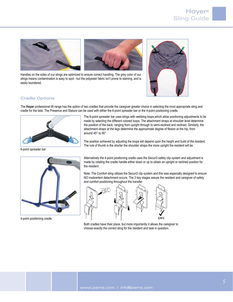

Handles on the sides of our slings are optimized to ensure correct handling. The grey color of our slings means contamination is easy to spot - but the polyester fabric isn't prone to staining, and is easily laundered.



### **Cradle Options**

The **Hoyer** professional lift range has the option of two cradles that provide the caregiver greater choice in selecting the most appropriate sling and cradle for the task. The Presence and Stature can be used with either the 6-point spreader bar or the 4-point positioning cradle.



6-point spreader bar

The 6-point spreader bar uses slings with webbing loops,which allow positioning adjustments to be made by selecting the different colored loops. The attachment straps at shoulder level determine the position of the back, ranging from upright through to semi-reclined and reclined. Similarly, the attachment straps at the legs determine the approximate degree of flexion at the hip, from around 45° to 90°.

The position achieved by adjusting the loops will depend upon the height and build of the resident. The rule of thumb is the shorter the shoulder straps the more upright the resident will be.



4-point positioning cradle

Alternatively the 4-point positioning cradle uses the Securi3 safety clip system and adjustment is made by rotating the cradle handle either down or up to obtain an upright or reclined position for the resident.

Note: The Comfort sling utilizes the Securi3 clip system and this was especially designed to ensure NO inadvertent detachment occurs. The 3 key stages assure the resident and caregiver of safety and comfort positioning throughout the transfer.



Both cradles have their place, but more importantly it allows the caregiver to choose exactly the correct sling for the resident and task in question.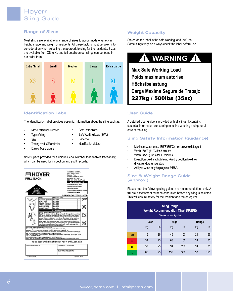## **Range of Sizes**

Most slings are available in a range of sizes to accommodate variety in height, shape and weight of residents. All these factors must be taken into consideration when selecting the appropriate sling for the residents. Sizes are available from XS to XL and full details on our slings can be found in our order form.



## **Identification Label**

The identification label provides essential information about the sling such as:

•

- Model reference number •
- Care Instructions
- Type of sling •
- Safe Working Load (SWL)
- Size
- •
- Bar code •
- Testing mark CE or similar •
- Date of Manufacture •

•

Identification picture •

Note: Space provided for a unique Serial Number that enables traceability, which can be used for inspection and audit records.



## **Weight Capacity**

Stated on the label is the safe working load, 500 lbs. Some slings vary, so always check the label before use.

#### **WARNING** Т 71

**Max Safe Working Load** Poids maximum autorisé Höchstbelastung Carga Máxima Segura de Trabajo 227kg / 500lbs (35st)

## **User Guide**

A detailed User Guide is provided with all slings. It contains essential information concerning machine washing and general care of the sling.

## **Sling Safety Information (guidance)**

- Maximum wash temp: 185°F (85°C), non-enzyme detergent •
- Wash 160°F (71°C) for 3 minutes •
- Wash 145°F (63°C) for 10 minutes •
- Do not tumble dry at high temp Air dry, cool tumble dry or dry at very low temperature •
- Ability to wash may help against MRSA •

#### **Size & Weight Range Guide (Approx.)**

Please note the following sling guides are recommendations only. A full risk assessment must be conducted before any sling is selected. This will ensure safety for the resident and the caregiver.

| <b>Sling Range</b><br><b>Weight Recommendation Chart (GUIDE)</b><br>Values shown: kgs/lbs |     |     |      |     |       |     |  |
|-------------------------------------------------------------------------------------------|-----|-----|------|-----|-------|-----|--|
|                                                                                           | Low |     | High |     | Range |     |  |
|                                                                                           | kg  | lb  | kg   | lb  | kg    | lb  |  |
| <b>XS</b>                                                                                 | 16  | 35  | 45   | 100 | 29    | 65  |  |
| S                                                                                         | 34  | 75  | 68   | 150 | 34    | 75  |  |
| M                                                                                         | 57  | 125 | 91   | 200 | 34    | 75  |  |
|                                                                                           | 80  | 175 | 136  | 300 | 57    | 125 |  |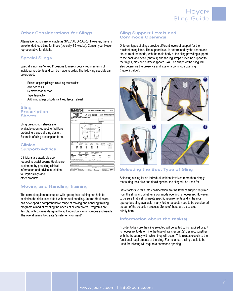#### **Other Considerations for Slings**

Alternative fabrics are available as SPECIAL ORDERS. However, there is an extended lead-time for these (typically 4-5 weeks). Consult your Hoyer representative for details.

# **Special Slings**

Special slings are "one-off" designs to meet specific requirements of individual residents and can be made to order. The following specials can be ordered.

- Extend loop strap length to suit leg or shoulders •
- Add loop to suit •
- Remove head support •
- Taper leg section •
- Add lining to legs or body (synthetic fleece material) •

#### **Sling Prescription Sheets** •

Sling prescription sheets are available upon request to facilitate producing a special sling design. Example of sling prescription form.

#### **Clinical Support/Advice**

Clinicians are available upon request to assist Joerns Healthcare customers by providing clinical information and advice in relation to **Hoyer** slings and other products.

| <b>JNRISE</b><br><b>IFDICAL</b>                                 | Full Back Polyester Sling                                                                     | Reported to                                                      |  |  |
|-----------------------------------------------------------------|-----------------------------------------------------------------------------------------------|------------------------------------------------------------------|--|--|
| a lindes Linter                                                 | Tel:<br>+44 (3) 1304-446622                                                                   | e-wait eater@eunmed.co.uk                                        |  |  |
| High Soust<br>Wallachen                                         | Fax: +44 (3) 1304-446644                                                                      | Web: sentemedical.co.uk                                          |  |  |
| <b>King Midwids On's 470</b>                                    |                                                                                               |                                                                  |  |  |
| CLASS CAME & NA COMPLETED MANAGERS TO ALANMAN METALLIC LIMITAR. |                                                                                               |                                                                  |  |  |
| <b>Dodor Harrio</b>                                             |                                                                                               | Account No.                                                      |  |  |
| Delbary Abbass.                                                 |                                                                                               | <b>Butter</b><br><b>ENGLISHED BY</b>                             |  |  |
|                                                                 |                                                                                               | <b>Guarthe</b>                                                   |  |  |
| Tel 19th                                                        | Fac No.<br>12.5                                                                               |                                                                  |  |  |
|                                                                 | ٠<br><b>CREDUX OF REESONAL</b><br>×<br>- 1<br>ъ<br>č<br>ė                                     |                                                                  |  |  |
|                                                                 |                                                                                               |                                                                  |  |  |
| <b>Sing</b> fa<br>(Please Sciety<br>an bu                       | ana amahal                                                                                    |                                                                  |  |  |
| FULNITY<br>m                                                    | <b>Markurs</b><br>firman<br><b>UPSK</b>                                                       | EAVELINE<br>towner                                               |  |  |
| Patho<br>51,500*                                                | 01/070<br>5,000<br>34,1909                                                                    | 20% Increase<br>Change Hore                                      |  |  |
| 639                                                             | <b>CO</b><br>acc.<br>430                                                                      | on large sine<br><b>Rom Economic</b><br><b>SECTION CONTINUES</b> |  |  |
| ŧ.<br>i bi<br>109                                               | m<br>an.<br>m<br>DH <sub>2</sub><br><b>NO</b><br>HAO                                          | ----<br><b>STATISTICS</b>                                        |  |  |
| È.<br>500                                                       | $\overline{1}$<br>m<br>680                                                                    |                                                                  |  |  |
| $\overline{128}$<br>×.                                          | 372<br>680<br>720                                                                             |                                                                  |  |  |
| (Retter SOC)<br>Crompon (The)<br>Phoenix Linings<br>74          | <b>Global</b><br>Body Bull                                                                    | <b><i><u>Riverside</u></i></b>                                   |  |  |
| Bolton <sub>1</sub><br>۰.                                       | Distance - 1037 to the at betterning<br><b>VMON R</b><br><b>UM</b> ya ba<br>Longh of Beltimet |                                                                  |  |  |
| <b>Sume list to durch/thengths</b><br>Straps.                   |                                                                                               |                                                                  |  |  |
| <b>Blazarier Brug</b><br>Pondukio<br>Exercition                 | <b>Bacal</b><br>Motiven                                                                       | <b>Longe</b><br><b>Spacial</b>                                   |  |  |
| Peadully<br><b>Los Sees</b><br><b>Fencion</b>                   | <b>Boat</b><br>Motivm                                                                         | <b>Large</b><br><b>System</b> *<br><b>CONTRACTOR</b>             |  |  |
|                                                                 |                                                                                               |                                                                  |  |  |
| 1 Etrops will be adjusted from the base                         | $\cdots$                                                                                      |                                                                  |  |  |
| System durinted approve ha powing<br><b>Eurnise Contact:</b>    | <b>EARLY ATTENTION FROM</b><br>Load-time:                                                     | <b>PERCH PURSER</b><br>Price Gusted                              |  |  |
|                                                                 | CUSP DANN, NO PHONO CALLAN SUN PURE CUSP SAME SERVED / TO A DAILYER CROSS, ADOSPT ANDE        |                                                                  |  |  |
| Customer PC Number                                              | Centres of Buy                                                                                | <b>Date:</b>                                                     |  |  |
| HWY - Dig In 3706478                                            | <b>Build be Ballet Crober Nat.</b>                                                            |                                                                  |  |  |

## **Moving and Handling Training**

The correct equipment coupled with appropriate training can help to minimize the risks associated with manual handling. Joerns Healthcare has developed a comprehensive range of moving and handling training programs aimed at meeting the needs of all caregivers. Programs are flexible, with courses designed to suit individual circumstances and needs. The overall aim is to create "a safer environment".

### **Sling Support Levels and Commode Openings**

Different types of slings provide different levels of support for the resident being lifted. The support level is determined by the shape and structure of the fabric, with the main body of the sling providing support to the back and head (photo 1) and the leg straps providing support to the thighs, hips and buttocks (photo 3/4). The shape of the sling will also determine the presence and size of a commode opening. (figure 2 below).



## **Selecting the Best Type of Sling**

Selecting a sling for an individual resident involves more than simply measuring their size and deciding what the sling will be used for.

Basic factors to take into consideration are the level of support required from the sling and whether a commode opening is necessary. However, to be sure that a sling meets specific requirements and is the most appropriate sling available, many further aspects need to be considered as part of the selection process. Some of these are discussed briefly here.

## **Information about the task(s)**

In order to be sure the sling selected will be suited to its required use, it is necessary to determine the type of transfer task(s) desired, together with the frequency with which they will occur. This relates closely to the functional requirements of the sling. For instance: a sling that is to be used for toileting will require a commode opening.